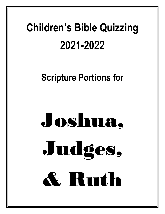## **Children's Bible Quizzing 20**21**-20**22

### **Scripture Portions for**

# Joshua, Judges, & Ruth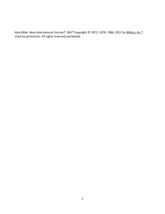Holy Bible, New International Version®, NIV® Copyright © 1973, 1978, 1984, 2011 by Biblica, Inc.® Used by permission. All rights reserved worldwide.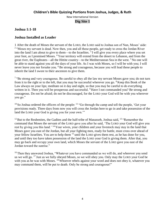#### **Joshua 1:1-18**

#### **Joshua Installed as Leader**

1 After the death of Moses the servant of the LORD, the LORD said to Joshua son of Nun, Moses' aide: <sup>2</sup> "Moses my servant is dead. Now then, you and all these people, get ready to cross the Jordan River into the land I am about to give to them—to the Israelites.  $3$  I will give you every place where you set your foot, as I promised Moses. <sup>4</sup> Your territory will extend from the desert to Lebanon, and from the great river, the Euphrates—all the Hittite country—to the Mediterranean Sea in the west. <sup>5</sup> No one will be able to stand against you all the days of your life. As I was with Moses, so I will be with you; I will never leave you nor forsake you. <sup>6</sup> Be strong and courageous, because you will lead these people to inherit the land I swore to their ancestors to give them.

<sup>7</sup> "Be strong and very courageous. Be careful to obey all the law my servant Moses gave you; do not turn from it to the right or to the left, that you may be successful wherever you go.  $8$  Keep this Book of the Law always on your lips; meditate on it day and night, so that you may be careful to do everything written in it. Then you will be prosperous and successful. <sup>9</sup> Have I not commanded you? Be strong and courageous. Do not be afraid; do not be discouraged, for the LORD your God will be with you wherever you go."

 $10$  So Joshua ordered the officers of the people:  $11$  "Go through the camp and tell the people, 'Get your provisions ready. Three days from now you will cross the Jordan here to go in and take possession of the land the LORD your God is giving you for your own.'"

 $12$  But to the Reubenites, the Gadites and the half-tribe of Manasseh, Joshua said,  $13$  "Remember the command that Moses the servant of the LORD gave you after he said, 'The LORD your God will give you rest by giving you this land.<sup>' 14</sup> Your wives, your children and your livestock may stay in the land that Moses gave you east of the Jordan, but all your fighting men, ready for battle, must cross over ahead of your fellow Israelites. You are to help them <sup>15</sup> until the LORD gives them rest, as he has done for you, and until they too have taken possession of the land the LORD your God is giving them. After that, you may go back and occupy your own land, which Moses the servant of the LORD gave you east of the Jordan toward the sunrise."

<sup>16</sup> Then they answered Joshua, "Whatever you have commanded us we will do, and wherever you send us we will go. <sup>17</sup> Just as we fully obeyed Moses, so we will obey you. Only may the LORD your God be with you as he was with Moses. <sup>18</sup> Whoever rebels against your word and does not obey it, whatever you may command them, will be put to death. Only be strong and courageous!"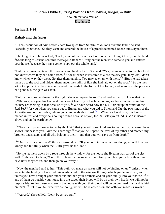#### **Children's Bible Quizzing Portions from Joshua, Judges, & Ruth**

New International Version

#### **Dig Site 2**

#### **Joshua 2:1-24**

#### **Rahab and the Spies**

2 Then Joshua son of Nun secretly sent two spies from Shittim. "Go, look over the land," he said, "especially Jericho." So they went and entered the house of a prostitute named Rahab and stayed there.

<sup>2</sup> The king of Jericho was told, "Look, some of the Israelites have come here tonight to spy out the land." <sup>3</sup> So the king of Jericho sent this message to Rahab: "Bring out the men who came to you and entered your house, because they have come to spy out the whole land."

<sup>4</sup> But the woman had taken the two men and hidden them. She said, "Yes, the men came to me, but I did not know where they had come from. <sup>5</sup> At dusk, when it was time to close the city gate, they left. I don't know which way they went. Go after them quickly. You may catch up with them." <sup>6</sup> (But she had taken them up to the roof and hidden them under the stalks of flax she had laid out on the roof.) <sup>7</sup> So the men set out in pursuit of the spies on the road that leads to the fords of the Jordan, and as soon as the pursuers had gone out, the gate was shut.

 $8$  Before the spies lay down for the night, she went up on the roof  $9$  and said to them, "I know that the LORD has given you this land and that a great fear of you has fallen on us, so that all who live in this country are melting in fear because of you. <sup>10</sup> We have heard how the LORD dried up the water of the Red Sea<sup>[\[a\]](https://www.biblegateway.com/passage/?search=joshua+2%3A1-24&version=NIV#fen-NIV-5880a)</sup> for you when you came out of Egypt, and what you did to Sihon and Og, the two kings of the Amorites east of the Jordan, whom you completely destroyed.<sup>[\[b\]](https://www.biblegateway.com/passage/?search=joshua+2%3A1-24&version=NIV#fen-NIV-5880b) 11</sup> When we heard of it, our hearts melted in fear and everyone's courage failed because of you, for the LORD your God is God in heaven above and on the earth below.

<sup>12</sup> "Now then, please swear to me by the LORD that you will show kindness to my family, because I have shown kindness to you. Give me a sure sign  $^{13}$  that you will spare the lives of my father and mother, my brothers and sisters, and all who belong to them—and that you will save us from death."

<sup>14</sup> "Our lives for your lives!" the men assured her. "If you don't tell what we are doing, we will treat you kindly and faithfully when the LORD gives us the land."

<sup>15</sup> So she let them down by a rope through the window, for the house she lived in was part of the city wall. <sup>16</sup> She said to them, "Go to the hills so the pursuers will not find you. Hide yourselves there three days until they return, and then go on your way."

 $17$  Now the men had said to her, "This oath you made us swear will not be binding on us  $18$  unless, when we enter the land, you have tied this scarlet cord in the window through which you let us down, and unless you have brought your father and mother, your brothers and all your family into your house.  $^{19}$  If any of them go outside your house into the street, their blood will be on their own heads; we will not be responsible. As for those who are in the house with you, their blood will be on our head if a hand is laid on them. <sup>20</sup> But if you tell what we are doing, we will be released from the oath you made us swear."

<sup>21</sup> "Agreed," she replied. "Let it be as you say."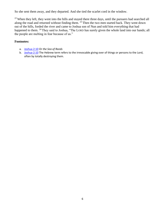So she sent them away, and they departed. And she tied the scarlet cord in the window.

<sup>22</sup> When they left, they went into the hills and stayed there three days, until the pursuers had searched all along the road and returned without finding them. <sup>23</sup> Then the two men started back. They went down out of the hills, forded the river and came to Joshua son of Nun and told him everything that had happened to them. <sup>24</sup> They said to Joshua, "The LORD has surely given the whole land into our hands; all the people are melting in fear because of us."

- a. [Joshua 2:10](https://www.biblegateway.com/passage/?search=joshua+2%3A1-24&version=NIV#en-NIV-5880) Or *the Sea of Reeds*
- b. [Joshua 2:10](https://www.biblegateway.com/passage/?search=joshua+2%3A1-24&version=NIV#en-NIV-5880) The Hebrew term refers to the irrevocable giving over of things or persons to the Lord, often by totally destroying them.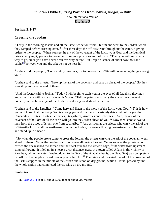#### **Joshua 3:1-17**

#### **Crossing the Jordan**

3 Early in the morning Joshua and all the Israelites set out from Shittim and went to the Jordan, where they camped before crossing over. <sup>2</sup> After three days the officers went throughout the camp,  $3$  giving orders to the people: "When you see the ark of the covenant of the LORD your God, and the Levitical priests carrying it, you are to move out from your positions and follow it. <sup>4</sup> Then you will know which way to go, since you have never been this way before. But keep a distance of about two thousand cubits<sup>[\[a\]](https://www.biblegateway.com/passage/?search=joshua+3%3A1-17&version=NIV#fen-NIV-5898a)</sup> between you and the ark; do not go near it."

<sup>5</sup> Joshua told the people, "Consecrate yourselves, for tomorrow the LORD will do amazing things among you."

<sup>6</sup> Joshua said to the priests, "Take up the ark of the covenant and pass on ahead of the people." So they took it up and went ahead of them.

 $<sup>7</sup>$  And the LORD said to Joshua, "Today I will begin to exalt you in the eyes of all Israel, so they may</sup> know that I am with you as I was with Moses. <sup>8</sup> Tell the priests who carry the ark of the covenant: 'When you reach the edge of the Jordan's waters, go and stand in the river.'"

<sup>9</sup> Joshua said to the Israelites, "Come here and listen to the words of the LORD your God.  $^{10}$  This is how you will know that the living God is among you and that he will certainly drive out before you the Canaanites, Hittites, Hivites, Perizzites, Girgashites, Amorites and Jebusites. <sup>11</sup> See, the ark of the covenant of the Lord of all the earth will go into the Jordan ahead of you. <sup>12</sup> Now then, choose twelve men from the tribes of Israel, one from each tribe. <sup>13</sup> And as soon as the priests who carry the ark of the LORD—the Lord of all the earth—set foot in the Jordan, its waters flowing downstream will be cut off and stand up in a heap."

 $14$  So when the people broke camp to cross the Jordan, the priests carrying the ark of the covenant went ahead of them. <sup>15</sup> Now the Jordan is at flood stage all during harvest. Yet as soon as the priests who carried the ark reached the Jordan and their feet touched the water's edge, <sup>16</sup> the water from upstream stopped flowing. It piled up in a heap a great distance away, at a town called Adam in the vicinity of Zarethan, while the water flowing down to the Sea of the Arabah (that is, the Dead Sea) was completely cut off. So the people crossed over opposite Jericho. <sup>17</sup> The priests who carried the ark of the covenant of the LORD stopped in the middle of the Jordan and stood on dry ground, while all Israel passed by until the whole nation had completed the crossing on dry ground.

#### **Footnotes:**

a. [Joshua 3:4](https://www.biblegateway.com/passage/?search=joshua+3%3A1-17&version=NIV#en-NIV-5898) That is, about 3,000 feet or about 900 meters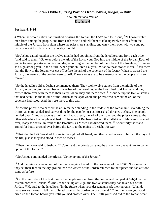#### **Children's Bible Quizzing Portions from Joshua, Judges, & Ruth**

New International Version

#### **Dig Site 4**

#### **Joshua 4:1-24**

4 When the whole nation had finished crossing the Jordan, the LORD said to Joshua, <sup>2</sup> "Choose twelve men from among the people, one from each tribe,  $3$  and tell them to take up twelve stones from the middle of the Jordan, from right where the priests are standing, and carry them over with you and put them down at the place where you stay tonight."

<sup>4</sup> So Joshua called together the twelve men he had appointed from the Israelites, one from each tribe, <sup>5</sup> and said to them, "Go over before the ark of the LORD your God into the middle of the Jordan. Each of you is to take up a stone on his shoulder, according to the number of the tribes of the Israelites, <sup>6</sup> to serve as a sign among you. In the future, when your children ask you, 'What do these stones mean?' <sup>7</sup> tell them that the flow of the Jordan was cut off before the ark of the covenant of the LORD. When it crossed the Jordan, the waters of the Jordan were cut off. These stones are to be a memorial to the people of Israel forever."

<sup>8</sup> So the Israelites did as Joshua commanded them. They took twelve stones from the middle of the Jordan, according to the number of the tribes of the Israelites, as the LORD had told Joshua; and they carried them over with them to their camp, where they put them down. <sup>9</sup> Joshua set up the twelve stones that had been<sup>[\[a\]](https://www.biblegateway.com/passage/?search=joshua+4%3A1-24%3B+5%3A10-12&version=NIV#fen-NIV-5920a)</sup> in the middle of the Jordan at the spot where the priests who carried the ark of the covenant had stood. And they are there to this day.

 $10$  Now the priests who carried the ark remained standing in the middle of the Jordan until everything the LORD had commanded Joshua was done by the people, just as Moses had directed Joshua. The people hurried over,  $^{11}$  and as soon as all of them had crossed, the ark of the LORD and the priests came to the other side while the people watched. <sup>12</sup> The men of Reuben, Gad and the half-tribe of Manasseh crossed over, ready for battle, in front of the Israelites, as Moses had directed them. <sup>13</sup> About forty thousand armed for battle crossed over before the LORD to the plains of Jericho for war.

<sup>14</sup> That day the LORD exalted Joshua in the sight of all Israel; and they stood in awe of him all the days of his life, just as they had stood in awe of Moses.

<sup>15</sup> Then the LORD said to Joshua, <sup>16</sup> "Command the priests carrying the ark of the covenant law to come up out of the Jordan."

<sup>17</sup> So Joshua commanded the priests, "Come up out of the Jordan."

 $18$  And the priests came up out of the river carrying the ark of the covenant of the LORD. No sooner had they set their feet on the dry ground than the waters of the Jordan returned to their place and ran at flood stage as before.

 $19$  On the tenth day of the first month the people went up from the Jordan and camped at Gilgal on the eastern border of Jericho. <sup>20</sup> And Joshua set up at Gilgal the twelve stones they had taken out of the Jordan. <sup>21</sup> He said to the Israelites, "In the future when your descendants ask their parents, 'What do these stones mean?' <sup>22</sup> tell them, 'Israel crossed the Jordan on dry ground.' <sup>23</sup> For the LORD your God dried up the Jordan before you until you had crossed over. The LORD your God did to the Jordan what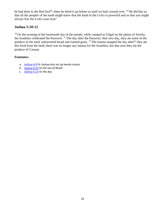he had done to the Red Sea<sup>[\[b\]](https://www.biblegateway.com/passage/?search=joshua+4%3A1-24%3B+5%3A10-12&version=NIV#fen-NIV-5934b)</sup> when he dried it up before us until we had crossed over. <sup>24</sup> He did this so that all the peoples of the earth might know that the hand of the LORD is powerful and so that you might always fear the LORD your God."

#### **Joshua 5:10-12**

 $10$  On the evening of the fourteenth day of the month, while camped at Gilgal on the plains of Jericho, the Israelites celebrated the Passover. <sup>11</sup> The day after the Passover, that very day, they ate some of the produce of the land: unleavened bread and roasted grain. <sup>12</sup> The manna stopped the day after<sup>[\[c\]](https://www.biblegateway.com/passage/?search=joshua+4%3A1-24%3B+5%3A10-12&version=NIV#fen-NIV-5947a)</sup> they ate this food from the land; there was no longer any manna for the Israelites, but that year they ate the produce of Canaan.

- a. [Joshua 4:9](https://www.biblegateway.com/passage/?search=joshua+4%3A1-24%3B+5%3A10-12&version=NIV#en-NIV-5920) Or *Joshua also set up twelve stones*
- b. [Joshua 4:23](https://www.biblegateway.com/passage/?search=joshua+4%3A1-24%3B+5%3A10-12&version=NIV#en-NIV-5934) Or *the Sea of Reeds*
- c. [Joshua 5:12](https://www.biblegateway.com/passage/?search=joshua+4%3A1-24%3B+5%3A10-12&version=NIV#en-NIV-5947) Or *the day*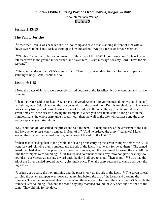#### **Children's Bible Quizzing Portions from Joshua, Judges, & Ruth**

New International Version

#### **Dig Site 5**

#### **Joshua 5:13-15**

#### **The Fall of Jericho**

 $13$  Now when Joshua was near Jericho, he looked up and saw a man standing in front of him with a drawn sword in his hand. Joshua went up to him and asked, "Are you for us or for our enemies?"

<sup>14</sup> "Neither," he replied, "but as commander of the army of the LORD I have now come." Then Joshua fell facedown to the ground in reverence, and asked him, "What message does my Lord<sup>[\[a\]](https://www.biblegateway.com/passage/?search=joshua+5%3A13-6%3A25&version=NIV#fen-NIV-5949a)</sup> have for his servant?"

<sup>15</sup> The commander of the LORD's army replied, "Take off your sandals, for the place where you are standing is holy." And Joshua did so.

#### **Joshua 6:1-25**

6 Now the gates of Jericho were securely barred because of the Israelites. No one went out and no one came in.

<sup>2</sup> Then the LORD said to Joshua, "See, I have delivered Jericho into your hands, along with its king and its fighting men.<sup>3</sup> March around the city once with all the armed men. Do this for six days.<sup>4</sup> Have seven priests carry trumpets of rams' horns in front of the ark. On the seventh day, march around the city seven times, with the priests blowing the trumpets.<sup>5</sup> When you hear them sound a long blast on the trumpets, have the whole army give a loud shout; then the wall of the city will collapse and the army will go up, everyone straight in."

<sup>6</sup> So Joshua son of Nun called the priests and said to them, "Take up the ark of the covenant of the LORD and have seven priests carry trumpets in front of it." <sup>7</sup> And he ordered the army, "Advance! March around the city, with an armed guard going ahead of the ark of the LORD."

<sup>8</sup> When Joshua had spoken to the people, the seven priests carrying the seven trumpets before the LORD went forward, blowing their trumpets, and the ark of the LORD's covenant followed them. <sup>9</sup> The armed guard marched ahead of the priests who blew the trumpets, and the rear guard followed the ark. All this time the trumpets were sounding. <sup>10</sup> But Joshua had commanded the army, "Do not give a war cry, do not raise your voices, do not say a word until the day I tell you to shout. Then shout!" <sup>11</sup> So he had the ark of the LORD carried around the city, circling it once. Then the army returned to camp and spent the night there.

 $12$  Joshua got up early the next morning and the priests took up the ark of the LORD.  $13$  The seven priests carrying the seven trumpets went forward, marching before the ark of the LORD and blowing the trumpets. The armed men went ahead of them and the rear guard followed the ark of the LORD, while the trumpets kept sounding. <sup>14</sup> So on the second day they marched around the city once and returned to the camp. They did this for six days.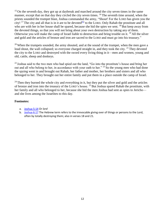<sup>15</sup> On the seventh day, they got up at daybreak and marched around the city seven times in the same manner, except that on that day they circled the city seven times. <sup>16</sup> The seventh time around, when the priests sounded the trumpet blast, Joshua commanded the army, "Shout! For the LORD has given you the city! <sup>17</sup> The city and all that is in it are to be devoted<sup>[\[b\]](https://www.biblegateway.com/passage/?search=joshua+5%3A13-6%3A25&version=NIV#fen-NIV-5967b)</sup> to the LORD. Only Rahab the prostitute and all who are with her in her house shall be spared, because she hid the spies we sent. <sup>18</sup> But keep away from the devoted things, so that you will not bring about your own destruction by taking any of them. Otherwise you will make the camp of Israel liable to destruction and bring trouble on it. <sup>19</sup> All the silver and gold and the articles of bronze and iron are sacred to the LORD and must go into his treasury."

 $20$  When the trumpets sounded, the army shouted, and at the sound of the trumpet, when the men gave a loud shout, the wall collapsed; so everyone charged straight in, and they took the city. <sup>21</sup> They devoted the city to the LORD and destroyed with the sword every living thing in it—men and women, young and old, cattle, sheep and donkeys.

<sup>22</sup> Joshua said to the two men who had spied out the land, "Go into the prostitute's house and bring her out and all who belong to her, in accordance with your oath to her." <sup>23</sup> So the young men who had done the spying went in and brought out Rahab, her father and mother, her brothers and sisters and all who belonged to her. They brought out her entire family and put them in a place outside the camp of Israel.

 $24$  Then they burned the whole city and everything in it, but they put the silver and gold and the articles of bronze and iron into the treasury of the LORD's house. <sup>25</sup> But Joshua spared Rahab the prostitute, with her family and all who belonged to her, because she hid the men Joshua had sent as spies to Jericho and she lives among the Israelites to this day.

- a. [Joshua 5:14](https://www.biblegateway.com/passage/?search=joshua+5%3A13-6%3A25&version=NIV#en-NIV-5949) Or *lord*
- b. [Joshua 6:17](https://www.biblegateway.com/passage/?search=joshua+5%3A13-6%3A25&version=NIV#en-NIV-5967) The Hebrew term refers to the irrevocable giving over of things or persons to the Lord, often by totally destroying them; also in verses 18 and 21.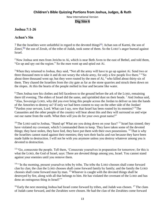#### **Children's Bible Quizzing Portions from Joshua, Judges, & Ruth**

New International Version

#### **Dig Site 6**

#### **Joshua 7:1-26**

#### **Achan's Sin**

7 But the Israelites were unfaithful in regard to the devoted things<sup>[\[a\]](https://www.biblegateway.com/passage/?search=joshua+7%3A1-26&version=NIV#fen-NIV-5978a)</sup>; Achan son of Karmi, the son of Zimri,  $[<sup>b</sup>]$  the son of Zerah, of the tribe of Judah, took some of them. So the LORD's anger burned against Israel.

 $2$  Now Joshua sent men from Jericho to Ai, which is near Beth Aven to the east of Bethel, and told them, "Go up and spy out the region." So the men went up and spied out Ai.

<sup>3</sup> When they returned to Joshua, they said, "Not all the army will have to go up against Ai. Send two or three thousand men to take it and do not weary the whole army, for only a few people live there." <sup>4</sup> So about three thousand went up; but they were routed by the men of Ai,  $5$  who killed about thirty-six of them. They chased the Israelites from the city gate as far as the stone quarries and struck them down on the slopes. At this the hearts of the people melted in fear and became like water.

<sup>6</sup> Then Joshua tore his clothes and fell facedown to the ground before the ark of the LORD, remaining there till evening. The elders of Israel did the same, and sprinkled dust on their heads. <sup>7</sup> And Joshua said, "Alas, Sovereign LORD, why did you ever bring this people across the Jordan to deliver us into the hands of the Amorites to destroy us? If only we had been content to stay on the other side of the Jordan!  $8$  Pardon your servant, Lord. What can I say, now that Israel has been routed by its enemies?  $9$  The Canaanites and the other people of the country will hear about this and they will surround us and wipe out our name from the earth. What then will you do for your own great name?"

<sup>10</sup> The LORD said to Joshua, "Stand up! What are you doing down on your face? <sup>11</sup> Israel has sinned; they have violated my covenant, which I commanded them to keep. They have taken some of the devoted things; they have stolen, they have lied, they have put them with their own possessions. <sup>12</sup> That is why the Israelites cannot stand against their enemies; they turn their backs and run because they have been made liable to destruction. I will not be with you anymore unless you destroy whatever among you is devoted to destruction.

<sup>13</sup> "Go, consecrate the people. Tell them, 'Consecrate yourselves in preparation for tomorrow; for this is what the LORD, the God of Israel, says: There are devoted things among you, Israel. You cannot stand against your enemies until you remove them.

<sup>14</sup> "In the morning, present yourselves tribe by tribe. The tribe the LORD chooses shall come forward clan by clan; the clan the LORD chooses shall come forward family by family; and the family the LORD chooses shall come forward man by man. <sup>15</sup> Whoever is caught with the devoted things shall be destroyed by fire, along with all that belongs to him. He has violated the covenant of the LORD and has done an outrageous thing in Israel!'"

 $^{16}$  Early the next morning Joshua had Israel come forward by tribes, and Judah was chosen. <sup>17</sup> The clans of Judah came forward, and the Zerahites were chosen. He had the clan of the Zerahites come forward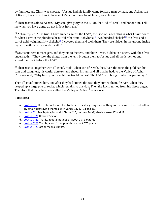by families, and Zimri was chosen. <sup>18</sup> Joshua had his family come forward man by man, and Achan son of Karmi, the son of Zimri, the son of Zerah, of the tribe of Judah, was chosen.

<sup>19</sup> Then Joshua said to Achan, "My son, give glory to the LORD, the God of Israel, and honor him. Tell me what you have done; do not hide it from me."

 $^{20}$  Achan replied, "It is true! I have sinned against the LORD, the God of Israel. This is what I have done: <sup>21</sup> When I saw in the plunder a beautiful robe from Babylonia, <sup>[\[c\]](https://www.biblegateway.com/passage/?search=joshua+7%3A1-26&version=NIV#fen-NIV-5998c)</sup> two hundred shekels<sup>[\[d\]](https://www.biblegateway.com/passage/?search=joshua+7%3A1-26&version=NIV#fen-NIV-5998d)</sup> of silver and a bar of gold weighing fifty shekels, <sup>[\[e\]](https://www.biblegateway.com/passage/?search=joshua+7%3A1-26&version=NIV#fen-NIV-5998e)</sup> I coveted them and took them. They are hidden in the ground inside my tent, with the silver underneath."

 $22$  So Joshua sent messengers, and they ran to the tent, and there it was, hidden in his tent, with the silver underneath. <sup>23</sup> They took the things from the tent, brought them to Joshua and all the Israelites and spread them out before the LORD.

 $24$  Then Joshua, together with all Israel, took Achan son of Zerah, the silver, the robe, the gold bar, his sons and daughters, his cattle, donkeys and sheep, his tent and all that he had, to the Valley of Achor. <sup>25</sup> Joshua said, "Why have you brought this trouble on us? The LORD will bring trouble on you today."

Then all Israel stoned him, and after they had stoned the rest, they burned them. <sup>26</sup> Over Achan they heaped up a large pile of rocks, which remains to this day. Then the LORD turned from his fierce anger. Therefore that place has been called the Valley of Achor $[<sup>f</sup>]$  ever since.

- a. [Joshua 7:1](https://www.biblegateway.com/passage/?search=joshua+7%3A1-26&version=NIV#en-NIV-5978) The Hebrew term refers to the irrevocable giving over of things or persons to the Lord, often by totally destroying them; also in verses 11, 12, 13 and 15.
- b. [Joshua 7:1](https://www.biblegateway.com/passage/?search=joshua+7%3A1-26&version=NIV#en-NIV-5978) See Septuagint and 1 Chron. 2:6; Hebrew *Zabdi*; also in verses 17 and 18.
- c. [Joshua 7:21](https://www.biblegateway.com/passage/?search=joshua+7%3A1-26&version=NIV#en-NIV-5998) Hebrew *Shinar*
- d. [Joshua 7:21](https://www.biblegateway.com/passage/?search=joshua+7%3A1-26&version=NIV#en-NIV-5998) That is, about 5 pounds or about 2.3 kilograms
- e. [Joshua 7:21](https://www.biblegateway.com/passage/?search=joshua+7%3A1-26&version=NIV#en-NIV-5998) That is, about 1 1/4 pounds or about 575 grams
- f. [Joshua 7:26](https://www.biblegateway.com/passage/?search=joshua+7%3A1-26&version=NIV#en-NIV-6003) *Achor* means *trouble.*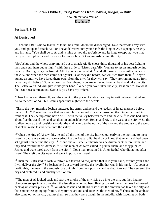#### **Joshua 8:1-35**

#### **Ai Destroyed**

8 Then the LORD said to Joshua, "Do not be afraid; do not be discouraged. Take the whole army with you, and go up and attack Ai. For I have delivered into your hands the king of Ai, his people, his city and his land. <sup>2</sup> You shall do to Ai and its king as you did to Jericho and its king, except that you may carry off their plunder and livestock for yourselves. Set an ambush behind the city."

<sup>3</sup> So Joshua and the whole army moved out to attack Ai. He chose thirty thousand of his best fighting men and sent them out at night <sup>4</sup> with these orders: "Listen carefully. You are to set an ambush behind the city. Don't go very far from it. All of you be on the alert. <sup>5</sup> I and all those with me will advance on the city, and when the men come out against us, as they did before, we will flee from them. <sup>6</sup> They will pursue us until we have lured them away from the city, for they will say, 'They are running away from us as they did before.' So when we flee from them,  $\frac{7}{2}$  you are to rise up from ambush and take the city. The LORD your God will give it into your hand. <sup>8</sup> When you have taken the city, set it on fire. Do what the LORD has commanded. See to it; you have my orders."

<sup>9</sup> Then Joshua sent them off, and they went to the place of ambush and lay in wait between Bethel and Ai, to the west of Ai—but Joshua spent that night with the people.

 $10$  Early the next morning Joshua mustered his army, and he and the leaders of Israel marched before them to Ai.  $^{11}$  The entire force that was with him marched up and approached the city and arrived in front of it. They set up camp north of Ai, with the valley between them and the city. <sup>12</sup> Joshua had taken about five thousand men and set them in ambush between Bethel and Ai, to the west of the city. <sup>13</sup> So the soldiers took up their positions—with the main camp to the north of the city and the ambush to the west of it. That night Joshua went into the valley.

<sup>14</sup> When the king of Ai saw this, he and all the men of the city hurried out early in the morning to meet Israel in battle at a certain place overlooking the Arabah. But he did not know that an ambush had been set against him behind the city. <sup>15</sup> Joshua and all Israel let themselves be driven back before them, and they fled toward the wilderness. <sup>16</sup> All the men of Ai were called to pursue them, and they pursued Joshua and were lured away from the city. <sup>17</sup> Not a man remained in Ai or Bethel who did not go after Israel. They left the city open and went in pursuit of Israel.

<sup>18</sup> Then the LORD said to Joshua, "Hold out toward Ai the javelin that is in your hand, for into your hand I will deliver the city." So Joshua held out toward the city the javelin that was in his hand. <sup>19</sup> As soon as he did this, the men in the ambush rose quickly from their position and rushed forward. They entered the city and captured it and quickly set it on fire.

 $20$  The men of Ai looked back and saw the smoke of the city rising up into the sky, but they had no chance to escape in any direction; the Israelites who had been fleeing toward the wilderness had turned back against their pursuers. <sup>21</sup> For when Joshua and all Israel saw that the ambush had taken the city and that smoke was going up from it, they turned around and attacked the men of Ai. <sup>22</sup> Those in the ambush also came out of the city against them, so that they were caught in the middle, with Israelites on both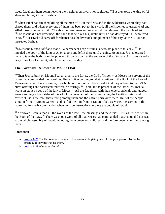sides. Israel cut them down, leaving them neither survivors nor fugitives.  $^{23}$  But they took the king of Ai alive and brought him to Joshua.

 $24$  When Israel had finished killing all the men of Ai in the fields and in the wilderness where they had chased them, and when every one of them had been put to the sword, all the Israelites returned to Ai and killed those who were in it.  $^{25}$  Twelve thousand men and women fell that day—all the people of Ai. <sup>26</sup> For Joshua did not draw back the hand that held out his javelin until he had destroyed<sup>[\[a\]](https://www.biblegateway.com/passage/?search=joshua+8%3A1-35&version=NIV#fen-NIV-6029a)</sup> all who lived in Ai. <sup>27</sup> But Israel did carry off for themselves the livestock and plunder of this city, as the LORD had instructed Joshua.

<sup>28</sup> So Joshua burned Ai<sup>[\[b\]](https://www.biblegateway.com/passage/?search=joshua+8%3A1-35&version=NIV#fen-NIV-6031b)</sup> and made it a permanent heap of ruins, a desolate place to this day. <sup>29</sup> He impaled the body of the king of Ai on a pole and left it there until evening. At sunset, Joshua ordered them to take the body from the pole and throw it down at the entrance of the city gate. And they raised a large pile of rocks over it, which remains to this day.

#### **The Covenant Renewed at Mount Ebal**

<sup>30</sup> Then Joshua built on Mount Ebal an altar to the LORD, the God of Israel, <sup>31</sup> as Moses the servant of the LORD had commanded the Israelites. He built it according to what is written in the Book of the Law of Moses—an altar of uncut stones, on which no iron tool had been used. On it they offered to the LORD burnt offerings and sacrificed fellowship offerings. <sup>32</sup> There, in the presence of the Israelites, Joshua wrote on stones a copy of the law of Moses.<sup>33</sup> All the Israelites, with their elders, officials and judges, were standing on both sides of the ark of the covenant of the LORD, facing the Levitical priests who carried it. Both the foreigners living among them and the native-born were there. Half of the people stood in front of Mount Gerizim and half of them in front of Mount Ebal, as Moses the servant of the LORD had formerly commanded when he gave instructions to bless the people of Israel.

 $34$  Afterward, Joshua read all the words of the law—the blessings and the curses—just as it is written in the Book of the Law. <sup>35</sup> There was not a word of all that Moses had commanded that Joshua did not read to the whole assembly of Israel, including the women and children, and the foreigners who lived among them.

- a. [Joshua 8:26](https://www.biblegateway.com/passage/?search=joshua+8%3A1-35&version=NIV#en-NIV-6029) The Hebrew term refers to the irrevocable giving over of things or persons to the Lord, often by totally destroying them.
- b. [Joshua 8:28](https://www.biblegateway.com/passage/?search=joshua+8%3A1-35&version=NIV#en-NIV-6031) *Ai* means *the ruin*.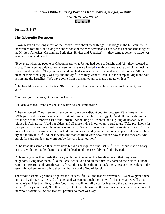#### **Dig Site 8**

#### **Joshua 9:1-27**

#### **The Gibeonite Deception**

9 Now when all the kings west of the Jordan heard about these things—the kings in the hill country, in the western foothills, and along the entire coast of the Mediterranean Sea as far as Lebanon (the kings of the Hittites, Amorites, Canaanites, Perizzites, Hivites and Jebusites)— $^2$  they came together to wage war against Joshua and Israel.

 $3$  However, when the people of Gibeon heard what Joshua had done to Jericho and Ai,  $4$  they resorted to a ruse: They went as a delegation whose donkeys were loaded $^{[a]}$  $^{[a]}$  $^{[a]}$  with worn-out sacks and old wineskins, cracked and mended. <sup>5</sup> They put worn and patched sandals on their feet and wore old clothes. All the bread of their food supply was dry and moldy. <sup>6</sup> Then they went to Joshua in the camp at Gilgal and said to him and the Israelites, "We have come from a distant country; make a treaty with us."

 $<sup>7</sup>$  The Israelites said to the Hivites, "But perhaps you live near us, so how can we make a treaty with</sup> you?"

<sup>8</sup> "We are your servants," they said to Joshua.

But Joshua asked, "Who are you and where do you come from?"

<sup>9</sup> They answered: "Your servants have come from a very distant country because of the fame of the LORD your God. For we have heard reports of him: all that he did in Egypt,  $10$  and all that he did to the two kings of the Amorites east of the Jordan—Sihon king of Heshbon, and Og king of Bashan, who reigned in Ashtaroth. <sup>11</sup> And our elders and all those living in our country said to us, 'Take provisions for your journey; go and meet them and say to them, "We are your servants; make a treaty with us."<sup>12</sup> This bread of ours was warm when we packed it at home on the day we left to come to you. But now see how dry and moldy it is. <sup>13</sup> And these wineskins that we filled were new, but see how cracked they are. And our clothes and sandals are worn out by the very long journey."

 $14$  The Israelites sampled their provisions but did not inquire of the LORD.  $15$  Then Joshua made a treaty of peace with them to let them live, and the leaders of the assembly ratified it by oath.

<sup>16</sup> Three days after they made the treaty with the Gibeonites, the Israelites heard that they were neighbors, living near them. <sup>17</sup> So the Israelites set out and on the third day came to their cities: Gibeon, Kephirah, Beeroth and Kiriath Jearim. <sup>18</sup> But the Israelites did not attack them, because the leaders of the assembly had sworn an oath to them by the LORD, the God of Israel.

The whole assembly grumbled against the leaders, <sup>19</sup> but all the leaders answered, "We have given them our oath by the LORD, the God of Israel, and we cannot touch them now. <sup>20</sup> This is what we will do to them: We will let them live, so that God's wrath will not fall on us for breaking the oath we swore to them." <sup>21</sup> They continued, "Let them live, but let them be woodcutters and water carriers in the service of the whole assembly." So the leaders' promise to them was kept.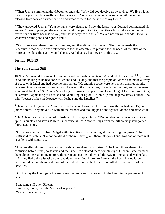$22$  Then Joshua summoned the Gibeonites and said, "Why did you deceive us by saying, 'We live a long way from you,' while actually you live near us?  $2<sup>3</sup>$  You are now under a curse: You will never be released from service as woodcutters and water carriers for the house of my God."

 $24$  They answered Joshua, "Your servants were clearly told how the LORD your God had commanded his servant Moses to give you the whole land and to wipe out all its inhabitants from before you. So we feared for our lives because of you, and that is why we did this.  $25$  We are now in your hands. Do to us whatever seems good and right to you."

<sup>26</sup> So Joshua saved them from the Israelites, and they did not kill them. <sup>27</sup> That day he made the Gibeonites woodcutters and water carriers for the assembly, to provide for the needs of the altar of the LORD at the place the LORD would choose. And that is what they are to this day.

#### **Joshua 10:1-15**

#### **The Sun Stands Still**

10 Now Adoni-Zedek king of Jerusalem heard that Joshua had taken Ai and totally destroyed<sup>[\[b\]](https://www.biblegateway.com/passage/?search=joshua+9%3A1-10%3A15&version=NIV#fen-NIV-6066b)</sup> it, doing to Ai and its king as he had done to Jericho and its king, and that the people of Gibeon had made a treaty of peace with Israel and had become their allies.  ${}^{2}$  He and his people were very much alarmed at this, because Gibeon was an important city, like one of the royal cities; it was larger than Ai, and all its men were good fighters. <sup>3</sup> So Adoni-Zedek king of Jerusalem appealed to Hoham king of Hebron, Piram king of Jarmuth, Japhia king of Lachish and Debir king of Eglon. <sup>4</sup> "Come up and help me attack Gibeon," he said, "because it has made peace with Joshua and the Israelites."

 $5$  Then the five kings of the Amorites—the kings of Jerusalem, Hebron, Jarmuth, Lachish and Eglon joined forces. They moved up with all their troops and took up positions against Gibeon and attacked it.

<sup>6</sup> The Gibeonites then sent word to Joshua in the camp at Gilgal: "Do not abandon your servants. Come up to us quickly and save us! Help us, because all the Amorite kings from the hill country have joined forces against us."

<sup>7</sup> So Joshua marched up from Gilgal with his entire army, including all the best fighting men. <sup>8</sup> The LORD said to Joshua, "Do not be afraid of them; I have given them into your hand. Not one of them will be able to withstand you."

 $9$  After an all-night march from Gilgal, Joshua took them by surprise. <sup>10</sup> The LORD threw them into confusion before Israel, so Joshua and the Israelites defeated them completely at Gibeon. Israel pursued them along the road going up to Beth Horon and cut them down all the way to Azekah and Makkedah.  $11$  As they fled before Israel on the road down from Beth Horon to Azekah, the LORD hurled large hailstones down on them, and more of them died from the hail than were killed by the swords of the Israelites.

 $12$  On the day the LORD gave the Amorites over to Israel, Joshua said to the LORD in the presence of Israel:

"Sun, stand still over Gibeon,

and you, moon, over the Valley of Aijalon."

 $13$  So the sun stood still.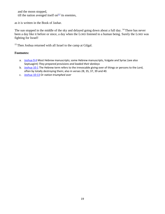and the moon stopped, till the nation avenged itself on  $\left[\infty\right]$  its enemies,

as it is written in the Book of Jashar.

The sun stopped in the middle of the sky and delayed going down about a full day. <sup>14</sup> There has never been a day like it before or since, a day when the LORD listened to a human being. Surely the LORD was fighting for Israel!

<sup>15</sup> Then Joshua returned with all Israel to the camp at Gilgal.

- a. [Joshua 9:4](https://www.biblegateway.com/passage/?search=joshua+9%3A1-10%3A15&version=NIV#en-NIV-6042) Most Hebrew manuscripts; some Hebrew manuscripts, Vulgate and Syriac (see also Septuagint) *They prepared provisions and loaded their donkeys*
- b. [Joshua 10:1](https://www.biblegateway.com/passage/?search=joshua+9%3A1-10%3A15&version=NIV#en-NIV-6066) The Hebrew term refers to the irrevocable giving over of things or persons to the Lord, often by totally destroying them; also in verses 28, 35, 37, 39 and 40.
- c. [Joshua 10:13](https://www.biblegateway.com/passage/?search=joshua+9%3A1-10%3A15&version=NIV#en-NIV-6078) Or *nation triumphed over*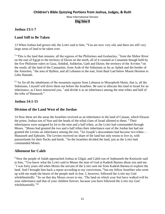#### **Children's Bible Quizzing Portions from Joshua, Judges, & Ruth**

New International Version

#### **Dig Site 9**

#### **Joshua 13:1-7**

#### **Land Still to Be Taken**

13 When Joshua had grown old, the LORD said to him, "You are now very old, and there are still very large areas of land to be taken over.

<sup>2</sup> "This is the land that remains: all the regions of the Philistines and Geshurites,  $3$  from the Shihor River on the east of Egypt to the territory of Ekron on the north, all of it counted as Canaanite though held by the five Philistine rulers in Gaza, Ashdod, Ashkelon, Gath and Ekron; the territory of the Avvites <sup>4</sup> on the south; all the land of the Canaanites, from Arah of the Sidonians as far as Aphek and the border of the Amorites; <sup>5</sup> the area of Byblos; and all Lebanon to the east, from Baal Gad below Mount Hermon to Lebo Hamath.

<sup>6</sup> "As for all the inhabitants of the mountain regions from Lebanon to Misrephoth Maim, that is, all the Sidonians, I myself will drive them out before the Israelites. Be sure to allocate this land to Israel for an inheritance, as I have instructed you,  $7$  and divide it as an inheritance among the nine tribes and half of the tribe of Manasseh"

#### **Joshua 14:1-15**

#### **Division of the Land West of the Jordan**

14 Now these are the areas the Israelites received as an inheritance in the land of Canaan, which Eleazar the priest, Joshua son of Nun and the heads of the tribal clans of Israel allotted to them. <sup>2</sup> Their inheritances were assigned by lot to the nine and a half tribes, as the LORD had commanded through Moses. <sup>3</sup> Moses had granted the two and a half tribes their inheritance east of the Jordan but had not granted the Levites an inheritance among the rest,  $4$  for Joseph's descendants had become two tribes— Manasseh and Ephraim. The Levites received no share of the land but only towns to live in, with pasturelands for their flocks and herds. <sup>5</sup> So the Israelites divided the land, just as the LORD had commanded Moses.

#### **Allotment for Caleb**

<sup>6</sup> Now the people of Judah approached Joshua at Gilgal, and Caleb son of Jephunneh the Kenizzite said to him, "You know what the LORD said to Moses the man of God at Kadesh Barnea about you and me.  $7$  I was forty years old when Moses the servant of the LORD sent me from Kadesh Barnea to explore the land. And I brought him back a report according to my convictions, <sup>8</sup> but my fellow Israelites who went up with me made the hearts of the people melt in fear. I, however, followed the LORD my God wholeheartedly. <sup>9</sup> So on that day Moses swore to me, 'The land on which your feet have walked will be your inheritance and that of your children forever, because you have followed the LORD my God wholeheartedly. $^{\prime}$ [\[a\]](https://www.biblegateway.com/passage/?search=joshua+13%3A1-7%3B+14%3A1-15&version=NIV#fen-NIV-6197a)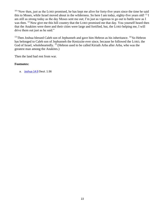<sup>10</sup> "Now then, just as the LORD promised, he has kept me alive for forty-five years since the time he said this to Moses, while Israel moved about in the wilderness. So here I am today, eighty-five years old!  $^{11}$  I am still as strong today as the day Moses sent me out; I'm just as vigorous to go out to battle now as I was then. <sup>12</sup> Now give me this hill country that the LORD promised me that day. You yourself heard then that the Anakites were there and their cities were large and fortified, but, the LORD helping me, I will drive them out just as he said."

<sup>13</sup> Then Joshua blessed Caleb son of Jephunneh and gave him Hebron as his inheritance. <sup>14</sup> So Hebron has belonged to Caleb son of Jephunneh the Kenizzite ever since, because he followed the LORD, the God of Israel, wholeheartedly. <sup>15</sup> (Hebron used to be called Kiriath Arba after Arba, who was the greatest man among the Anakites.)

Then the land had rest from war.

#### **Footnotes:**

a. [Joshua 14:9](https://www.biblegateway.com/passage/?search=joshua+13%3A1-7%3B+14%3A1-15&version=NIV#en-NIV-6197) Deut. 1:36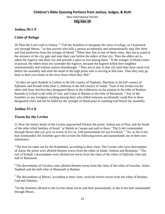#### **Joshua 20:1-9**

#### **Cities of Refuge**

20 Then the LORD said to Joshua: <sup>2</sup> "Tell the Israelites to designate the cities of refuge, as I instructed you through Moses, <sup>3</sup> so that anyone who kills a person accidentally and unintentionally may flee there and find protection from the avenger of blood. <sup>4</sup> When they flee to one of these cities, they are to stand in the entrance of the city gate and state their case before the elders of that city. Then the elders are to admit the fugitive into their city and provide a place to live among them. <sup>5</sup> If the avenger of blood comes in pursuit, the elders must not surrender the fugitive, because the fugitive killed their neighbor unintentionally and without malice aforethought. <sup>6</sup> They are to stay in that city until they have stood trial before the assembly and until the death of the high priest who is serving at that time. Then they may go back to their own home in the town from which they fled."

<sup>7</sup> So they set apart Kedesh in Galilee in the hill country of Naphtali, Shechem in the hill country of Ephraim, and Kiriath Arba (that is, Hebron) in the hill country of Judah. <sup>8</sup> East of the Jordan (on the other side from Jericho) they designated Bezer in the wilderness on the plateau in the tribe of Reuben, Ramoth in Gilead in the tribe of Gad, and Golan in Bashan in the tribe of Manasseh. <sup>9</sup> Any of the Israelites or any foreigner residing among them who killed someone accidentally could flee to these designated cities and not be killed by the avenger of blood prior to standing trial before the assembly.

#### **Joshua 21:1-8**

#### **Towns for the Levites**

21 Now the family heads of the Levites approached Eleazar the priest, Joshua son of Nun, and the heads of the other tribal families of Israel <sup>2</sup> at Shiloh in Canaan and said to them, "The LORD commanded through Moses that you give us towns to live in, with pasturelands for our livestock."  $3$  So, as the LORD had commanded, the Israelites gave the Levites the following towns and pasturelands out of their own inheritance:

<sup>4</sup> The first lot came out for the Kohathites, according to their clans. The Levites who were descendants of Aaron the priest were allotted thirteen towns from the tribes of Judah, Simeon and Benjamin. <sup>5</sup> The rest of Kohath's descendants were allotted ten towns from the clans of the tribes of Ephraim, Dan and half of Manasseh.

<sup>6</sup> The descendants of Gershon were allotted thirteen towns from the clans of the tribes of Issachar, Asher, Naphtali and the half-tribe of Manasseh in Bashan.

 $<sup>7</sup>$ The descendants of Merari, according to their clans, received twelve towns from the tribes of Reuben,</sup> Gad and Zebulun.

<sup>8</sup> So the Israelites allotted to the Levites these towns and their pasturelands, as the LORD had commanded through Moses.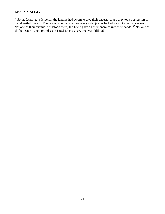#### **Joshua 21:43-45**

<sup>43</sup> So the LORD gave Israel all the land he had sworn to give their ancestors, and they took possession of it and settled there. <sup>44</sup> The LORD gave them rest on every side, just as he had sworn to their ancestors. Not one of their enemies withstood them; the LORD gave all their enemies into their hands. <sup>45</sup> Not one of all the LORD's good promises to Israel failed; every one was fulfilled.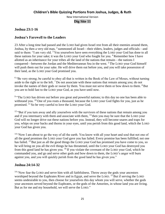#### **Joshua 23:1-16**

#### **Joshua's Farewell to the Leaders**

23 After a long time had passed and the LORD had given Israel rest from all their enemies around them, Joshua, by then a very old man, <sup>2</sup> summoned all Israel—their elders, leaders, judges and officials—and said to them: "I am very old. <sup>3</sup> You yourselves have seen everything the LORD your God has done to all these nations for your sake; it was the LORD your God who fought for you. <sup>4</sup> Remember how I have allotted as an inheritance for your tribes all the land of the nations that remain—the nations I conquered—between the Jordan and the Mediterranean Sea in the west. <sup>5</sup> The LORD your God himself will push them out for your sake. He will drive them out before you, and you will take possession of their land, as the LORD your God promised you.

<sup>6</sup> "Be very strong; be careful to obey all that is written in the Book of the Law of Moses, without turning aside to the right or to the left. <sup>7</sup> Do not associate with these nations that remain among you; do not invoke the names of their gods or swear by them. You must not serve them or bow down to them. <sup>8</sup> But you are to hold fast to the LORD your God, as you have until now.

<sup>9</sup> "The LORD has driven out before you great and powerful nations; to this day no one has been able to withstand you.  $10$  One of you routs a thousand, because the LORD your God fights for you, just as he promised. <sup>11</sup> So be very careful to love the LORD your God.

 $12$  "But if you turn away and ally yourselves with the survivors of these nations that remain among you and if you intermarry with them and associate with them,  $^{13}$  then you may be sure that the LORD your God will no longer drive out these nations before you. Instead, they will become snares and traps for you, whips on your backs and thorns in your eyes, until you perish from this good land, which the LORD your God has given you.

<sup>14</sup> "Now I am about to go the way of all the earth. You know with all your heart and soul that not one of all the good promises the LORD your God gave you has failed. Every promise has been fulfilled; not one has failed. <sup>15</sup> But just as all the good things the LORD your God has promised you have come to you, so he will bring on you all the evil things he has threatened, until the LORD your God has destroyed you from this good land he has given you. <sup>16</sup> If you violate the covenant of the LORD your God, which he commanded you, and go and serve other gods and bow down to them, the LORD's anger will burn against you, and you will quickly perish from the good land he has given you."

#### **Joshua 24:14-32**

 $14$  "Now fear the LORD and serve him with all faithfulness. Throw away the gods your ancestors worshiped beyond the Euphrates River and in Egypt, and serve the LORD. <sup>15</sup> But if serving the LORD seems undesirable to you, then choose for yourselves this day whom you will serve, whether the gods your ancestors served beyond the Euphrates, or the gods of the Amorites, in whose land you are living. But as for me and my household, we will serve the LORD."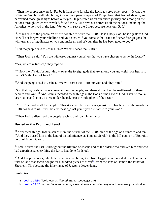<sup>16</sup> Then the people answered, "Far be it from us to forsake the LORD to serve other gods! <sup>17</sup> It was the LORD our God himself who brought us and our parents up out of Egypt, from that land of slavery, and performed those great signs before our eyes. He protected us on our entire journey and among all the nations through which we traveled. <sup>18</sup> And the LORD drove out before us all the nations, including the Amorites, who lived in the land. We too will serve the LORD, because he is our God."

<sup>19</sup> Joshua said to the people, "You are not able to serve the LORD. He is a holy God; he is a jealous God. He will not forgive your rebellion and your sins. <sup>20</sup> If you forsake the LORD and serve foreign gods, he will turn and bring disaster on you and make an end of you, after he has been good to you."

 $21$  But the people said to Joshua, "No! We will serve the LORD."

 $22$  Then Joshua said, "You are witnesses against yourselves that you have chosen to serve the LORD."

"Yes, we are witnesses," they replied.

<sup>23</sup> "Now then," said Joshua, "throw away the foreign gods that are among you and yield your hearts to the LORD, the God of Israel."

<sup>24</sup> And the people said to Joshua, "We will serve the LORD our God and obey him."

 $25$  On that day Joshua made a covenant for the people, and there at Shechem he reaffirmed for them decrees and laws. <sup>26</sup> And Joshua recorded these things in the Book of the Law of God. Then he took a large stone and set it up there under the oak near the holy place of the LORD.

<sup>27</sup> "See!" he said to all the people. "This stone will be a witness against us. It has heard all the words the LORD has said to us. It will be a witness against you if you are untrue to your God."

<sup>28</sup> Then Joshua dismissed the people, each to their own inheritance.

#### **Buried in the Promised Land**

<sup>29</sup> After these things, Joshua son of Nun, the servant of the LORD, died at the age of a hundred and ten.  $30$  And they buried him in the land of his inheritance, at Timnath Serah $^{[a]}$  $^{[a]}$  $^{[a]}$  in the hill country of Ephraim, north of Mount Gaash.

 $31$  Israel served the LORD throughout the lifetime of Joshua and of the elders who outlived him and who had experienced everything the LORD had done for Israel.

<sup>32</sup> And Joseph's bones, which the Israelites had brought up from Egypt, were buried at Shechem in the tract of land that Jacob bought for a hundred pieces of silver<sup>[\[b\]](https://www.biblegateway.com/passage/?search=joshua+23%3A1-16%3B+24%3A14-32&version=NIV#fen-NIV-6509b)</sup> from the sons of Hamor, the father of Shechem. This became the inheritance of Joseph's descendants.

- a. [Joshua 24:30](https://www.biblegateway.com/passage/?search=joshua+23%3A1-16%3B+24%3A14-32&version=NIV#en-NIV-6507) Also known as *Timnath Heres* (see Judges 2:9)
- b. [Joshua 24:32](https://www.biblegateway.com/passage/?search=joshua+23%3A1-16%3B+24%3A14-32&version=NIV#en-NIV-6509) Hebrew *hundred kesitahs*; a kesitah was a unit of money of unknown weight and value.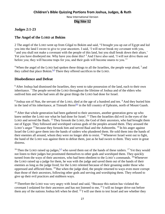#### **Judges 2:1-23**

#### **The Angel of the LORD at Bokim**

2 The angel of the LORD went up from Gilgal to Bokim and said, "I brought you up out of Egypt and led you into the land I swore to give to your ancestors. I said, 'I will never break my covenant with you,  $2^{2}$  and you shall not make a covenant with the people of this land, but you shall break down their altars.' Yet you have disobeyed me. Why have you done this? <sup>3</sup> And I have also said, 'I will not drive them out before you; they will become traps for you, and their gods will become snares to you.'"

 $4$  When the angel of the LORD had spoken these things to all the Israelites, the people wept aloud,  $5$  and they called that place Bokim.<sup>[\[a\]](https://www.biblegateway.com/passage/?search=judges+2%3A1-23&version=NIV#fen-NIV-6551a)</sup> There they offered sacrifices to the LORD.

#### **Disobedience and Defeat**

<sup>6</sup> After Joshua had dismissed the Israelites, they went to take possession of the land, each to their own inheritance. <sup>7</sup> The people served the LORD throughout the lifetime of Joshua and of the elders who outlived him and who had seen all the great things the LORD had done for Israel.

<sup>8</sup> Joshua son of Nun, the servant of the LORD, died at the age of a hundred and ten. <sup>9</sup> And they buried him in the land of his inheritance, at Timnath Heres<sup>[\[b\]](https://www.biblegateway.com/passage/?search=judges+2%3A1-23&version=NIV#fen-NIV-6555b)</sup> in the hill country of Ephraim, north of Mount Gaash.

<sup>10</sup> After that whole generation had been gathered to their ancestors, another generation grew up who knew neither the LORD nor what he had done for Israel. <sup>11</sup> Then the Israelites did evil in the eyes of the LORD and served the Baals. <sup>12</sup> They forsook the LORD, the God of their ancestors, who had brought them out of Egypt. They followed and worshiped various gods of the peoples around them. They aroused the LORD's anger  $^{13}$  because they forsook him and served Baal and the Ashtoreths.  $^{14}$  In his anger against Israel the LORD gave them into the hands of raiders who plundered them. He sold them into the hands of their enemies all around, whom they were no longer able to resist. <sup>15</sup> Whenever Israel went out to fight, the hand of the LORD was against them to defeat them, just as he had sworn to them. They were in great distress.

<sup>16</sup> Then the LORD raised up judges, <sup>[\[c\]](https://www.biblegateway.com/passage/?search=judges+2%3A1-23&version=NIV#fen-NIV-6562c)</sup> who saved them out of the hands of these raiders. <sup>17</sup> Yet they would not listen to their judges but prostituted themselves to other gods and worshiped them. They quickly turned from the ways of their ancestors, who had been obedient to the LORD's commands. <sup>18</sup> Whenever the LORD raised up a judge for them, he was with the judge and saved them out of the hands of their enemies as long as the judge lived; for the LORD relented because of their groaning under those who oppressed and afflicted them. <sup>19</sup> But when the judge died, the people returned to ways even more corrupt than those of their ancestors, following other gods and serving and worshiping them. They refused to give up their evil practices and stubborn ways.

<sup>20</sup> Therefore the LORD was very angry with Israel and said, "Because this nation has violated the covenant I ordained for their ancestors and has not listened to me,  $^{21}$  I will no longer drive out before them any of the nations Joshua left when he died.  $^{22}$  I will use them to test Israel and see whether they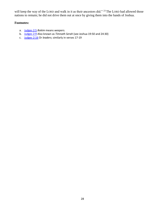will keep the way of the LORD and walk in it as their ancestors did." <sup>23</sup> The LORD had allowed those nations to remain; he did not drive them out at once by giving them into the hands of Joshua.

- a. [Judges 2:5](https://www.biblegateway.com/passage/?search=judges+2%3A1-23&version=NIV#en-NIV-6551) *Bokim* means *weepers.*
- b. [Judges 2:9](https://www.biblegateway.com/passage/?search=judges+2%3A1-23&version=NIV#en-NIV-6555) Also known as *Timnath Serah* (see Joshua 19:50 and 24:30)
- c. [Judges 2:16](https://www.biblegateway.com/passage/?search=judges+2%3A1-23&version=NIV#en-NIV-6562) Or *leaders*; similarly in verses 17-19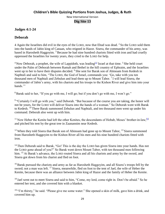#### **Judges 4:1-24**

#### **Deborah**

4 Again the Israelites did evil in the eyes of the LORD, now that Ehud was dead. <sup>2</sup> So the LORD sold them into the hands of Jabin king of Canaan, who reigned in Hazor. Sisera, the commander of his army, was based in Harosheth Haggoyim. <sup>3</sup> Because he had nine hundred chariots fitted with iron and had cruelly oppressed the Israelites for twenty years, they cried to the LORD for help.

<sup>4</sup> Now Deborah, a prophet, the wife of Lappidoth, was leading<sup>[\[a\]](https://www.biblegateway.com/passage/?search=judges+4%3A1-24&version=NIV#fen-NIV-6604a)</sup> Israel at that time. <sup>5</sup> She held court under the Palm of Deborah between Ramah and Bethel in the hill country of Ephraim, and the Israelites went up to her to have their disputes decided. <sup>6</sup> She sent for Barak son of Abinoam from Kedesh in Naphtali and said to him, "The LORD, the God of Israel, commands you: 'Go, take with you ten thousand men of Naphtali and Zebulun and lead them up to Mount Tabor. <sup>7</sup> I will lead Sisera, the commander of Jabin's army, with his chariots and his troops to the Kishon River and give him into your hands."

<sup>8</sup> Barak said to her, "If you go with me, I will go; but if you don't go with me, I won't go."

<sup>9 "</sup>Certainly I will go with you," said Deborah. "But because of the course you are taking, the honor will not be yours, for the LORD will deliver Sisera into the hands of a woman." So Deborah went with Barak to Kedesh. <sup>10</sup> There Barak summoned Zebulun and Naphtali, and ten thousand men went up under his command. Deborah also went up with him.

 $11$  Now Heber the Kenite had left the other Kenites, the descendants of Hobab, Moses' brother-in-law, [\[b\]](https://www.biblegateway.com/passage/?search=judges+4%3A1-24&version=NIV#fen-NIV-6611b) and pitched his tent by the great tree in Zaanannim near Kedesh.

 $12$  When they told Sisera that Barak son of Abinoam had gone up to Mount Tabor,  $13$  Sisera summoned from Harosheth Haggoyim to the Kishon River all his men and his nine hundred chariots fitted with iron.

<sup>14</sup> Then Deborah said to Barak, "Go! This is the day the LORD has given Sisera into your hands. Has not the LORD gone ahead of you?" So Barak went down Mount Tabor, with ten thousand men following him. <sup>15</sup> At Barak's advance, the LORD routed Sisera and all his chariots and army by the sword, and Sisera got down from his chariot and fled on foot.

<sup>16</sup> Barak pursued the chariots and army as far as Harosheth Haggoyim, and all Sisera's troops fell by the sword; not a man was left. <sup>17</sup> Sisera, meanwhile, fled on foot to the tent of Jael, the wife of Heber the Kenite, because there was an alliance between Jabin king of Hazor and the family of Heber the Kenite.

<sup>18</sup> Jael went out to meet Sisera and said to him, "Come, my lord, come right in. Don't be afraid." So he entered her tent, and she covered him with a blanket.

 $19$  "I'm thirsty," he said. "Please give me some water." She opened a skin of milk, gave him a drink, and covered him up.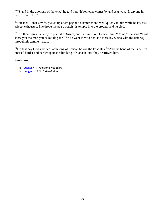<sup>20</sup> "Stand in the doorway of the tent," he told her. "If someone comes by and asks you, 'Is anyone in there?' say 'No.'"

 $21$  But Jael, Heber's wife, picked up a tent peg and a hammer and went quietly to him while he lay fast asleep, exhausted. She drove the peg through his temple into the ground, and he died.

<sup>22</sup> Just then Barak came by in pursuit of Sisera, and Jael went out to meet him. "Come," she said, "I will show you the man you're looking for." So he went in with her, and there lay Sisera with the tent peg through his temple—dead.

<sup>23</sup> On that day God subdued Jabin king of Canaan before the Israelites.<sup>24</sup> And the hand of the Israelites pressed harder and harder against Jabin king of Canaan until they destroyed him.

- a. [Judges 4:4](https://www.biblegateway.com/passage/?search=judges+4%3A1-24&version=NIV#en-NIV-6604) Traditionally *judging*
- b. [Judges 4:11](https://www.biblegateway.com/passage/?search=judges+4%3A1-24&version=NIV#en-NIV-6611) Or *father-in-law*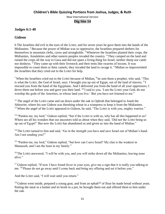#### **Judges 6:1-40**

#### **Gideon**

6 The Israelites did evil in the eyes of the LORD, and for seven years he gave them into the hands of the Midianites. <sup>2</sup> Because the power of Midian was so oppressive, the Israelites prepared shelters for themselves in mountain clefts, caves and strongholds.  $3$  Whenever the Israelites planted their crops, the Midianites, Amalekites and other eastern peoples invaded the country. <sup>4</sup> They camped on the land and ruined the crops all the way to Gaza and did not spare a living thing for Israel, neither sheep nor cattle nor donkeys.<sup>5</sup> They came up with their livestock and their tents like swarms of locusts. It was impossible to count them or their camels; they invaded the land to ravage it. <sup>6</sup> Midian so impoverished the Israelites that they cried out to the LORD for help.

<sup>7</sup> When the Israelites cried out to the LORD because of Midian,  $8$  he sent them a prophet, who said, "This is what the LORD, the God of Israel, says: I brought you up out of Egypt, out of the land of slavery.  $9I$ rescued you from the hand of the Egyptians. And I delivered you from the hand of all your oppressors; I drove them out before you and gave you their land. <sup>10</sup> I said to you, 'I am the LORD your God; do not worship the gods of the Amorites, in whose land you live.' But you have not listened to me."

 $11$  The angel of the LORD came and sat down under the oak in Ophrah that belonged to Joash the Abiezrite, where his son Gideon was threshing wheat in a winepress to keep it from the Midianites.  $12$  When the angel of the LORD appeared to Gideon, he said, "The LORD is with you, mighty warrior."

<sup>13</sup> "Pardon me, my lord," Gideon replied, "but if the LORD is with us, why has all this happened to us? Where are all his wonders that our ancestors told us about when they said, 'Did not the LORD bring us up out of Egypt?' But now the LORD has abandoned us and given us into the hand of Midian."

<sup>14</sup> The LORD turned to him and said, "Go in the strength you have and save Israel out of Midian's hand. Am I not sending you?"

<sup>15</sup> "Pardon me, my lord," Gideon replied, "but how can I save Israel? My clan is the weakest in Manasseh, and I am the least in my family."

<sup>16</sup> The LORD answered, "I will be with you, and you will strike down all the Midianites, leaving none alive."

<sup>17</sup> Gideon replied, "If now I have found favor in your eyes, give me a sign that it is really you talking to me. <sup>18</sup> Please do not go away until I come back and bring my offering and set it before you."

And the LORD said, "I will wait until you return."

<sup>19</sup> Gideon went inside, prepared a young goat, and from an ephah $[a]$  of flour he made bread without yeast. Putting the meat in a basket and its broth in a pot, he brought them out and offered them to him under the oak.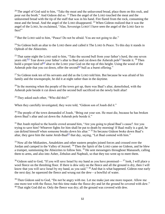$20$  The angel of God said to him, "Take the meat and the unleavened bread, place them on this rock, and pour out the broth." And Gideon did so.  $2<sup>1</sup>$  Then the angel of the LORD touched the meat and the unleavened bread with the tip of the staff that was in his hand. Fire flared from the rock, consuming the meat and the bread. And the angel of the LORD disappeared. <sup>22</sup> When Gideon realized that it was the angel of the LORD, he exclaimed, "Alas, Sovereign LORD! I have seen the angel of the LORD face to face!"

 $23$  But the LORD said to him, "Peace! Do not be afraid. You are not going to die."

 $24$  So Gideon built an altar to the LORD there and called it The LORD Is Peace. To this day it stands in Ophrah of the Abiezrites.

<sup>25</sup> That same night the LORD said to him, "Take the second bull from your father's herd, the one seven years old.<sup>[\[b\]](https://www.biblegateway.com/passage/?search=judges+6%3A1-40&version=NIV#fen-NIV-6680b)</sup> Tear down your father's altar to Baal and cut down the Asherah pole<sup>[\[c\]](https://www.biblegateway.com/passage/?search=judges+6%3A1-40&version=NIV#fen-NIV-6680c)</sup> beside it. <sup>26</sup> Then build a proper kind of<sup>[\[d\]](https://www.biblegateway.com/passage/?search=judges+6%3A1-40&version=NIV#fen-NIV-6681d)</sup> altar to the LORD your God on the top of this height. Using the wood of the Asherah pole that you cut down, offer the second  $[<sup>e</sup>]$  bull as a burnt offering."

 $27$  So Gideon took ten of his servants and did as the LORD told him. But because he was afraid of his family and the townspeople, he did it at night rather than in the daytime.

 $^{28}$  In the morning when the people of the town got up, there was Baal's altar, demolished, with the Asherah pole beside it cut down and the second bull sacrificed on the newly built altar!

 $29$  They asked each other, "Who did this?"

When they carefully investigated, they were told, "Gideon son of Joash did it."

<sup>30</sup> The people of the town demanded of Joash, "Bring out your son. He must die, because he has broken down Baal's altar and cut down the Asherah pole beside it."

<sup>31</sup> But Joash replied to the hostile crowd around him, "Are you going to plead Baal's cause? Are you trying to save him? Whoever fights for him shall be put to death by morning! If Baal really is a god, he can defend himself when someone breaks down his altar." <sup>32</sup> So because Gideon broke down Baal's altar, they gave him the name Jerub-Baal<sup>[\[f\]](https://www.biblegateway.com/passage/?search=judges+6%3A1-40&version=NIV#fen-NIV-6687f)</sup> that day, saying, "Let Baal contend with him."

<sup>33</sup> Now all the Midianites, Amalekites and other eastern peoples joined forces and crossed over the Jordan and camped in the Valley of Jezreel.<sup>34</sup> Then the Spirit of the LORD came on Gideon, and he blew a trumpet, summoning the Abiezrites to follow him. <sup>35</sup> He sent messengers throughout Manasseh, calling them to arms, and also into Asher, Zebulun and Naphtali, so that they too went up to meet them.

 $36$  Gideon said to God, "If you will save Israel by my hand as you have promised— $37$  look, I will place a wool fleece on the threshing floor. If there is dew only on the fleece and all the ground is dry, then I will know that you will save Israel by my hand, as you said." <sup>38</sup> And that is what happened. Gideon rose early the next day; he squeezed the fleece and wrung out the dew—a bowlful of water.

<sup>39</sup> Then Gideon said to God, "Do not be angry with me. Let me make just one more request. Allow me one more test with the fleece, but this time make the fleece dry and let the ground be covered with dew."  $40$  That night God did so. Only the fleece was dry; all the ground was covered with dew.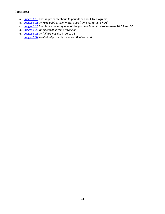- a. [Judges 6:19](https://www.biblegateway.com/passage/?search=judges+6%3A1-40&version=NIV#en-NIV-6674) That is, probably about 36 pounds or about 16 kilograms
- b. [Judges 6:25](https://www.biblegateway.com/passage/?search=judges+6%3A1-40&version=NIV#en-NIV-6680) Or *Take a full-grown, mature bull from your father's herd*
- c. [Judges 6:25](https://www.biblegateway.com/passage/?search=judges+6%3A1-40&version=NIV#en-NIV-6680) That is, a wooden symbol of the goddess Asherah; also in verses 26, 28 and 30
- d. [Judges 6:26](https://www.biblegateway.com/passage/?search=judges+6%3A1-40&version=NIV#en-NIV-6681) Or *build with layers of stone an*
- e. [Judges 6:26](https://www.biblegateway.com/passage/?search=judges+6%3A1-40&version=NIV#en-NIV-6681) Or *full-grown*; also in verse 28
- f. [Judges 6:32](https://www.biblegateway.com/passage/?search=judges+6%3A1-40&version=NIV#en-NIV-6687) *Jerub-Baal* probably means *let Baal contend.*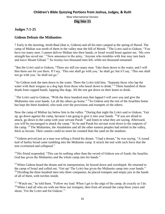#### **Judges 7:1-25**

#### **Gideon Defeats the Midianites**

7 Early in the morning, Jerub-Baal (that is, Gideon) and all his men camped at the spring of Harod. The camp of Midian was north of them in the valley near the hill of Moreh. <sup>2</sup> The LORD said to Gideon, "You have too many men. I cannot deliver Midian into their hands, or Israel would boast against me, 'My own strength has saved me.'<sup>3</sup> Now announce to the army, 'Anyone who trembles with fear may turn back and leave Mount Gilead.'" So twenty-two thousand men left, while ten thousand remained.

<sup>4</sup> But the LORD said to Gideon, "There are still too many men. Take them down to the water, and I will thin them out for you there. If I say, 'This one shall go with you,' he shall go; but if I say, 'This one shall not go with you,' he shall not go."

<sup>5</sup> So Gideon took the men down to the water. There the LORD told him, "Separate those who lap the water with their tongues as a dog laps from those who kneel down to drink." <sup>6</sup> Three hundred of them drank from cupped hands, lapping like dogs. All the rest got down on their knees to drink.

<sup>7</sup> The LORD said to Gideon, "With the three hundred men that lapped I will save you and give the Midianites into your hands. Let all the others go home." <sup>8</sup> So Gideon sent the rest of the Israelites home but kept the three hundred, who took over the provisions and trumpets of the others.

Now the camp of Midian lay below him in the valley. <sup>9</sup> During that night the LORD said to Gideon, "Get up, go down against the camp, because I am going to give it into your hands. <sup>10</sup> If you are afraid to attack, go down to the camp with your servant Purah <sup>11</sup> and listen to what they are saying. Afterward, you will be encouraged to attack the camp." So he and Purah his servant went down to the outposts of the camp. <sup>12</sup> The Midianites, the Amalekites and all the other eastern peoples had settled in the valley, thick as locusts. Their camels could no more be counted than the sand on the seashore.

<sup>13</sup> Gideon arrived just as a man was telling a friend his dream. "I had a dream," he was saying. "A round loaf of barley bread came tumbling into the Midianite camp. It struck the tent with such force that the tent overturned and collapsed."

<sup>14</sup> His friend responded, "This can be nothing other than the sword of Gideon son of Joash, the Israelite. God has given the Midianites and the whole camp into his hands."

<sup>15</sup> When Gideon heard the dream and its interpretation, he bowed down and worshiped. He returned to the camp of Israel and called out, "Get up! The LORD has given the Midianite camp into your hands."  $16$  Dividing the three hundred men into three companies, he placed trumpets and empty jars in the hands of all of them, with torches inside.

<sup>17</sup> "Watch me," he told them. "Follow my lead. When I get to the edge of the camp, do exactly as I do.  $18$  When I and all who are with me blow our trumpets, then from all around the camp blow yours and shout, 'For the LORD and for Gideon.'"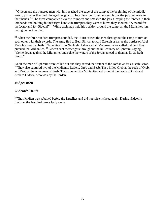$19$  Gideon and the hundred men with him reached the edge of the camp at the beginning of the middle watch, just after they had changed the guard. They blew their trumpets and broke the jars that were in their hands. <sup>20</sup> The three companies blew the trumpets and smashed the jars. Grasping the torches in their left hands and holding in their right hands the trumpets they were to blow, they shouted, "A sword for the LORD and for Gideon!" <sup>21</sup> While each man held his position around the camp, all the Midianites ran, crying out as they fled.

 $22$  When the three hundred trumpets sounded, the LORD caused the men throughout the camp to turn on each other with their swords. The army fled to Beth Shittah toward Zererah as far as the border of Abel Meholah near Tabbath. <sup>23</sup> Israelites from Naphtali, Asher and all Manasseh were called out, and they pursued the Midianites. <sup>24</sup> Gideon sent messengers throughout the hill country of Ephraim, saying, "Come down against the Midianites and seize the waters of the Jordan ahead of them as far as Beth Barah."

So all the men of Ephraim were called out and they seized the waters of the Jordan as far as Beth Barah. <sup>25</sup> They also captured two of the Midianite leaders, Oreb and Zeeb. They killed Oreb at the rock of Oreb, and Zeeb at the winepress of Zeeb. They pursued the Midianites and brought the heads of Oreb and Zeeb to Gideon, who was by the Jordan.

#### **Judges 8:28**

#### **Gideon's Death**

 $^{28}$  Thus Midian was subdued before the Israelites and did not raise its head again. During Gideon's lifetime, the land had peace forty years.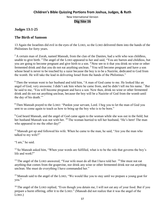#### **Children's Bible Quizzing Portions from Joshua, Judges, & Ruth**

New International Version

#### **Dig Site 16**

#### **Judges 13:1-25**

#### **The Birth of Samson**

13 Again the Israelites did evil in the eyes of the LORD, so the LORD delivered them into the hands of the Philistines for forty years.

 $2A$  certain man of Zorah, named Manoah, from the clan of the Danites, had a wife who was childless, unable to give birth. <sup>3</sup> The angel of the LORD appeared to her and said, "You are barren and childless, but you are going to become pregnant and give birth to a son. <sup>4</sup> Now see to it that you drink no wine or other fermented drink and that you do not eat anything unclean.<sup>5</sup> You will become pregnant and have a son whose head is never to be touched by a razor because the boy is to be a Nazirite, dedicated to God from the womb. He will take the lead in delivering Israel from the hands of the Philistines."

<sup>6</sup> Then the woman went to her husband and told him, "A man of God came to me. He looked like an angel of God, very awesome. I didn't ask him where he came from, and he didn't tell me his name. <sup>7</sup> But he said to me, 'You will become pregnant and have a son. Now then, drink no wine or other fermented drink and do not eat anything unclean, because the boy will be a Nazirite of God from the womb until the day of his death.'"

<sup>8</sup> Then Manoah prayed to the LORD: "Pardon your servant, Lord. I beg you to let the man of God you sent to us come again to teach us how to bring up the boy who is to be born."

<sup>9</sup> God heard Manoah, and the angel of God came again to the woman while she was out in the field; but her husband Manoah was not with her. <sup>10</sup> The woman hurried to tell her husband, "He's here! The man who appeared to me the other day!"

 $11$  Manoah got up and followed his wife. When he came to the man, he said, "Are you the man who talked to my wife?"

"I am," he said.

 $12$  So Manoah asked him, "When your words are fulfilled, what is to be the rule that governs the boy's life and work?"

<sup>13</sup> The angel of the LORD answered, "Your wife must do all that I have told her. <sup>14</sup> She must not eat anything that comes from the grapevine, nor drink any wine or other fermented drink nor eat anything unclean. She must do everything I have commanded her."

<sup>15</sup> Manoah said to the angel of the LORD, "We would like you to stay until we prepare a young goat for you."

<sup>16</sup> The angel of the LORD replied, "Even though you detain me, I will not eat any of your food. But if you prepare a burnt offering, offer it to the LORD." (Manoah did not realize that it was the angel of the LORD.)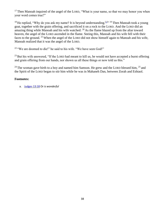$17$  Then Manoah inquired of the angel of the LORD, "What is your name, so that we may honor you when your word comes true?"

<sup>18</sup> He replied, "Why do you ask my name? It is beyond understanding.  $[4]^{(1)}$  Then Manoah took a young goat, together with the grain offering, and sacrificed it on a rock to the LORD. And the LORD did an amazing thing while Manoah and his wife watched:  $^{20}$  As the flame blazed up from the altar toward heaven, the angel of the LORD ascended in the flame. Seeing this, Manoah and his wife fell with their faces to the ground. <sup>21</sup> When the angel of the LORD did not show himself again to Manoah and his wife, Manoah realized that it was the angel of the LORD.

 $22$  "We are doomed to die!" he said to his wife. "We have seen God!"

 $^{23}$  But his wife answered, "If the LORD had meant to kill us, he would not have accepted a burnt offering and grain offering from our hands, nor shown us all these things or now told us this."

<sup>24</sup> The woman gave birth to a boy and named him Samson. He grew and the LORD blessed him,  $^{25}$  and the Spirit of the LORD began to stir him while he was in Mahaneh Dan, between Zorah and Eshtaol.

#### **Footnotes:**

a. [Judges 13:18](https://www.biblegateway.com/passage/?search=judges+13%3A1-25&version=NIV#en-NIV-6903) Or *is wonderful*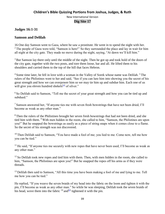#### **Judges 16:1-31**

#### **Samson and Delilah**

16 One day Samson went to Gaza, where he saw a prostitute. He went in to spend the night with her.  $2$  The people of Gaza were told, "Samson is here!" So they surrounded the place and lay in wait for him all night at the city gate. They made no move during the night, saying, "At dawn we'll kill him."

<sup>3</sup> But Samson lay there only until the middle of the night. Then he got up and took hold of the doors of the city gate, together with the two posts, and tore them loose, bar and all. He lifted them to his shoulders and carried them to the top of the hill that faces Hebron.

<sup>4</sup> Some time later, he fell in love with a woman in the Valley of Sorek whose name was Delilah. <sup>5</sup> The rulers of the Philistines went to her and said, "See if you can lure him into showing you the secret of his great strength and how we can overpower him so we may tie him up and subdue him. Each one of us will give you eleven hundred shekels<sup>[\[a\]](https://www.biblegateway.com/passage/?search=judges+16%3A1-31&version=NIV#fen-NIV-6955a)</sup> of silver."

<sup>6</sup> So Delilah said to Samson, "Tell me the secret of your great strength and how you can be tied up and subdued."

<sup>7</sup> Samson answered her, "If anyone ties me with seven fresh bowstrings that have not been dried, I'll become as weak as any other man."

<sup>8</sup> Then the rulers of the Philistines brought her seven fresh bowstrings that had not been dried, and she tied him with them. <sup>9</sup> With men hidden in the room, she called to him, "Samson, the Philistines are upon you!" But he snapped the bowstrings as easily as a piece of string snaps when it comes close to a flame. So the secret of his strength was not discovered.

 $10$  Then Delilah said to Samson, "You have made a fool of me; you lied to me. Come now, tell me how you can be tied."

 $11$  He said, "If anyone ties me securely with new ropes that have never been used, I'll become as weak as any other man."

 $12$  So Delilah took new ropes and tied him with them. Then, with men hidden in the room, she called to him, "Samson, the Philistines are upon you!" But he snapped the ropes off his arms as if they were threads.

<sup>13</sup> Delilah then said to Samson, "All this time you have been making a fool of me and lying to me. Tell me how you can be tied."

He replied, "If you weave the seven braids of my head into the fabric on the loom and tighten it with the pin, I'll become as weak as any other man." So while he was sleeping, Delilah took the seven braids of his head, wove them into the fabric  $14$  and  $[b]$  tightened it with the pin.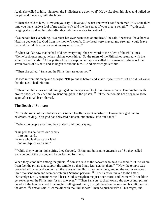Again she called to him, "Samson, the Philistines are upon you!" He awoke from his sleep and pulled up the pin and the loom, with the fabric.

<sup>15</sup> Then she said to him, "How can you say, 'I love you,' when you won't confide in me? This is the third time you have made a fool of me and haven't told me the secret of your great strength." <sup>16</sup> With such nagging she prodded him day after day until he was sick to death of it.

<sup>17</sup> So he told her everything. "No razor has ever been used on my head," he said, "because I have been a Nazirite dedicated to God from my mother's womb. If my head were shaved, my strength would leave me, and I would become as weak as any other man."

 $18$  When Delilah saw that he had told her everything, she sent word to the rulers of the Philistines, "Come back once more; he has told me everything." So the rulers of the Philistines returned with the silver in their hands. <sup>19</sup> After putting him to sleep on her lap, she called for someone to shave off the seven braids of his hair, and so began to subdue him.  $\left[\frac{c}{2}\right]$  And his strength left him.

<sup>20</sup> Then she called, "Samson, the Philistines are upon you!"

He awoke from his sleep and thought, "I'll go out as before and shake myself free." But he did not know that the LORD had left him.

 $21$  Then the Philistines seized him, gouged out his eyes and took him down to Gaza. Binding him with bronze shackles, they set him to grinding grain in the prison. <sup>22</sup> But the hair on his head began to grow again after it had been shaved.

#### **The Death of Samson**

 $^{23}$  Now the rulers of the Philistines assembled to offer a great sacrifice to Dagon their god and to celebrate, saying, "Our god has delivered Samson, our enemy, into our hands."

 $24$  When the people saw him, they praised their god, saying,

"Our god has delivered our enemy into our hands, the one who laid waste our land and multiplied our slain."

 $25$  While they were in high spirits, they shouted, "Bring out Samson to entertain us." So they called Samson out of the prison, and he performed for them.

When they stood him among the pillars, <sup>26</sup> Samson said to the servant who held his hand, "Put me where I can feel the pillars that support the temple, so that I may lean against them." <sup>27</sup> Now the temple was crowded with men and women; all the rulers of the Philistines were there, and on the roof were about three thousand men and women watching Samson perform. <sup>28</sup> Then Samson prayed to the LORD, "Sovereign LORD, remember me. Please, God, strengthen me just once more, and let me with one blow get revenge on the Philistines for my two eyes." <sup>29</sup> Then Samson reached toward the two central pillars on which the temple stood. Bracing himself against them, his right hand on the one and his left hand on the other, <sup>30</sup> Samson said, "Let me die with the Philistines!" Then he pushed with all his might, and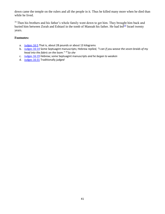down came the temple on the rulers and all the people in it. Thus he killed many more when he died than while he lived.

<sup>31</sup> Then his brothers and his father's whole family went down to get him. They brought him back and buried him between Zorah and Eshtaol in the tomb of Manoah his father. He had led<sup>[\[d\]](https://www.biblegateway.com/passage/?search=judges+16%3A1-31&version=NIV#fen-NIV-6981d)</sup> Israel twenty years.

- a. [Judges 16:5](https://www.biblegateway.com/passage/?search=judges+16%3A1-31&version=NIV#en-NIV-6955) That is, about 28 pounds or about 13 kilograms
- b. [Judges 16:14](https://www.biblegateway.com/passage/?search=judges+16%3A1-31&version=NIV#en-NIV-6964) Some Septuagint manuscripts; Hebrew *replied, "I can if you weave the seven braids of my head into the fabric on the loom." <sup>14</sup> So she*
- c. [Judges 16:19](https://www.biblegateway.com/passage/?search=judges+16%3A1-31&version=NIV#en-NIV-6969) Hebrew; some Septuagint manuscripts *and he began to weaken*
- d. [Judges 16:31](https://www.biblegateway.com/passage/?search=judges+16%3A1-31&version=NIV#en-NIV-6981) Traditionally *judged*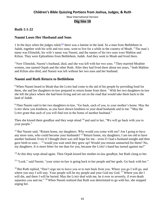#### **Ruth 1:1-22**

#### **Naomi Loses Her Husband and Sons**

1 In the days when the judges ruled,<sup>[\[a\]](https://www.biblegateway.com/passage/?search=ruth+1%3A1-22&version=NIV#fen-NIV-7129a)</sup> there was a famine in the land. So a man from Bethlehem in Judah, together with his wife and two sons, went to live for a while in the country of Moab.  $2$  The man's name was Elimelek, his wife's name was Naomi, and the names of his two sons were Mahlon and Kilion. They were Ephrathites from Bethlehem, Judah. And they went to Moab and lived there.

<sup>3</sup> Now Elimelek, Naomi's husband, died, and she was left with her two sons. <sup>4</sup> They married Moabite women, one named Orpah and the other Ruth. After they had lived there about ten years, <sup>5</sup> both Mahlon and Kilion also died, and Naomi was left without her two sons and her husband.

#### **Naomi and Ruth Return to Bethlehem**

<sup>6</sup> When Naomi heard in Moab that the LORD had come to the aid of his people by providing food for them, she and her daughters-in-law prepared to return home from there. <sup>7</sup> With her two daughters-in-law she left the place where she had been living and set out on the road that would take them back to the land of Judah.

<sup>8</sup> Then Naomi said to her two daughters-in-law, "Go back, each of you, to your mother's home. May the LORD show you kindness, as you have shown kindness to your dead husbands and to me. <sup>9</sup> May the LORD grant that each of you will find rest in the home of another husband."

Then she kissed them goodbye and they wept aloud  $10$  and said to her, "We will go back with you to your people."

<sup>11</sup> But Naomi said, "Return home, my daughters. Why would you come with me? Am I going to have any more sons, who could become your husbands?  $12$  Return home, my daughters; I am too old to have another husband. Even if I thought there was still hope for me—even if I had a husband tonight and then gave birth to sons— <sup>13</sup> would you wait until they grew up? Would you remain unmarried for them? No, my daughters. It is more bitter for me than for you, because the LORD's hand has turned against me!"

<sup>14</sup> At this they wept aloud again. Then Orpah kissed her mother-in-law goodbye, but Ruth clung to her.

<sup>15</sup> "Look," said Naomi, "your sister-in-law is going back to her people and her gods. Go back with her."

<sup>16</sup> But Ruth replied, "Don't urge me to leave you or to turn back from you. Where you go I will go, and where you stay I will stay. Your people will be my people and your God my God. <sup>17</sup> Where you die I will die, and there I will be buried. May the LORD deal with me, be it ever so severely, if even death separates you and me." <sup>18</sup> When Naomi realized that Ruth was determined to go with her, she stopped urging her.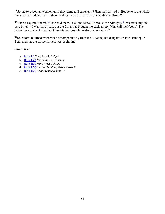<sup>19</sup> So the two women went on until they came to Bethlehem. When they arrived in Bethlehem, the whole town was stirred because of them, and the women exclaimed, "Can this be Naomi?"

<sup>20</sup> "Don't call me Naomi, <sup>[\[b\]](https://www.biblegateway.com/passage/?search=ruth+1%3A1-22&version=NIV#fen-NIV-7148b)</sup>" she told them. "Call me Mara, <sup>[\[c\]](https://www.biblegateway.com/passage/?search=ruth+1%3A1-22&version=NIV#fen-NIV-7148c)</sup> because the Almighty <sup>[\[d\]](https://www.biblegateway.com/passage/?search=ruth+1%3A1-22&version=NIV#fen-NIV-7148d)</sup> has made my life very bitter. <sup>21</sup> I went away full, but the LORD has brought me back empty. Why call me Naomi? The LORD has afflicted<sup>[\[e\]](https://www.biblegateway.com/passage/?search=ruth+1%3A1-22&version=NIV#fen-NIV-7149e)</sup> me; the Almighty has brought misfortune upon me."

 $22$  So Naomi returned from Moab accompanied by Ruth the Moabite, her daughter-in-law, arriving in Bethlehem as the barley harvest was beginning.

- a. [Ruth 1:1](https://www.biblegateway.com/passage/?search=ruth+1%3A1-22&version=NIV#en-NIV-7129) Traditionally *judged*
- b. [Ruth 1:20](https://www.biblegateway.com/passage/?search=ruth+1%3A1-22&version=NIV#en-NIV-7148) *Naomi* means *pleasant.*
- c. [Ruth 1:20](https://www.biblegateway.com/passage/?search=ruth+1%3A1-22&version=NIV#en-NIV-7148) *Mara* means *bitter.*
- d. [Ruth 1:20](https://www.biblegateway.com/passage/?search=ruth+1%3A1-22&version=NIV#en-NIV-7148) Hebrew *Shaddai*; also in verse 21
- e. [Ruth 1:21](https://www.biblegateway.com/passage/?search=ruth+1%3A1-22&version=NIV#en-NIV-7149) Or *has testified against*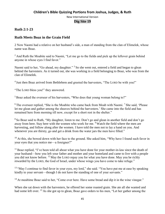#### **Ruth 2:1-23**

#### **Ruth Meets Boaz in the Grain Field**

2 Now Naomi had a relative on her husband's side, a man of standing from the clan of Elimelek, whose name was Boaz.

<sup>2</sup> And Ruth the Moabite said to Naomi, "Let me go to the fields and pick up the leftover grain behind anyone in whose eyes I find favor."

Naomi said to her, "Go ahead, my daughter." <sup>3</sup> So she went out, entered a field and began to glean behind the harvesters. As it turned out, she was working in a field belonging to Boaz, who was from the clan of Elimelek.

<sup>4</sup> Just then Boaz arrived from Bethlehem and greeted the harvesters, "The LORD be with you!"

"The LORD bless you!" they answered.

<sup>5</sup> Boaz asked the overseer of his harvesters, "Who does that young woman belong to?"

 $6$  The overseer replied, "She is the Moabite who came back from Moab with Naomi. <sup>7</sup> She said, 'Please let me glean and gather among the sheaves behind the harvesters.' She came into the field and has remained here from morning till now, except for a short rest in the shelter."

<sup>8</sup> So Boaz said to Ruth, "My daughter, listen to me. Don't go and glean in another field and don't go away from here. Stay here with the women who work for me. <sup>9</sup> Watch the field where the men are harvesting, and follow along after the women. I have told the men not to lay a hand on you. And whenever you are thirsty, go and get a drink from the water jars the men have filled."

<sup>10</sup> At this, she bowed down with her face to the ground. She asked him, "Why have I found such favor in your eyes that you notice me—a foreigner?"

<sup>11</sup> Boaz replied, "I've been told all about what you have done for your mother-in-law since the death of your husband—how you left your father and mother and your homeland and came to live with a people you did not know before. <sup>12</sup> May the LORD repay you for what you have done. May you be richly rewarded by the LORD, the God of Israel, under whose wings you have come to take refuge."

<sup>13</sup> "May I continue to find favor in your eyes, my lord," she said. "You have put me at ease by speaking kindly to your servant—though I do not have the standing of one of your servants."

<sup>14</sup> At mealtime Boaz said to her, "Come over here. Have some bread and dip it in the wine vinegar."

When she sat down with the harvesters, he offered her some roasted grain. She ate all she wanted and had some left over. <sup>15</sup> As she got up to glean, Boaz gave orders to his men, "Let her gather among the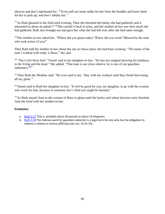sheaves and don't reprimand her. <sup>16</sup> Even pull out some stalks for her from the bundles and leave them for her to pick up, and don't rebuke her."

 $17$  So Ruth gleaned in the field until evening. Then she threshed the barley she had gathered, and it amounted to about an ephah.<sup>[\[a\]](https://www.biblegateway.com/passage/?search=ruth+2%3A1-23&version=NIV#fen-NIV-7167a) 18</sup> She carried it back to town, and her mother-in-law saw how much she had gathered. Ruth also brought out and gave her what she had left over after she had eaten enough.

<sup>19</sup> Her mother-in-law asked her, "Where did you glean today? Where did you work? Blessed be the man who took notice of you!"

Then Ruth told her mother-in-law about the one at whose place she had been working. "The name of the man I worked with today is Boaz," she said.

<sup>20</sup> "The LORD bless him!" Naomi said to her daughter-in-law. "He has not stopped showing his kindness to the living and the dead." She added, "That man is our close relative; he is one of our guardian-redeemers.<sup>[\[b\]](https://www.biblegateway.com/passage/?search=ruth+2%3A1-23&version=NIV#fen-NIV-7170b)</sup>"

 $21$  Then Ruth the Moabite said, "He even said to me, 'Stay with my workers until they finish harvesting all my grain.'"

 $^{22}$  Naomi said to Ruth her daughter-in-law, "It will be good for you, my daughter, to go with the women who work for him, because in someone else's field you might be harmed."

 $^{23}$  So Ruth stayed close to the women of Boaz to glean until the barley and wheat harvests were finished. And she lived with her mother-in-law.

- a. [Ruth 2:17](https://www.biblegateway.com/passage/?search=ruth+2%3A1-23&version=NIV#en-NIV-7167) That is, probably about 30 pounds or about 13 kilograms
- b. [Ruth 2:20](https://www.biblegateway.com/passage/?search=ruth+2%3A1-23&version=NIV#en-NIV-7170) The Hebrew word for *guardian-redeemer* is a legal term for one who has the obligation to redeem a relative in serious difficulty (see Lev. 25:25-55).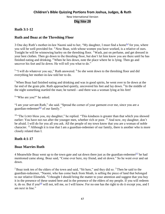#### **Ruth 3:1-12**

#### **Ruth and Boaz at the Threshing Floor**

3 One day Ruth's mother-in-law Naomi said to her, "My daughter, I must find a home<sup>[\[a\]](https://www.biblegateway.com/passage/?search=ruth+3%3A1-12%3B+4%3A1-17&version=NIV#fen-NIV-7174a)</sup> for you, where you will be well provided for.  $2$  Now Boaz, with whose women you have worked, is a relative of ours. Tonight he will be winnowing barley on the threshing floor.<sup>3</sup> Wash, put on perfume, and get dressed in your best clothes. Then go down to the threshing floor, but don't let him know you are there until he has finished eating and drinking. <sup>4</sup> When he lies down, note the place where he is lying. Then go and uncover his feet and lie down. He will tell you what to do."

<sup>5 "I</sup> will do whatever you say," Ruth answered. <sup>6</sup> So she went down to the threshing floor and did everything her mother-in-law told her to do.

<sup>7</sup>When Boaz had finished eating and drinking and was in good spirits, he went over to lie down at the far end of the grain pile. Ruth approached quietly, uncovered his feet and lay down. <sup>8</sup> In the middle of the night something startled the man; he turned—and there was a woman lying at his feet!

<sup>9</sup> "Who are you?" he asked.

"I am your servant Ruth," she said. "Spread the corner of your garment over me, since you are a guardian-redeemer<sup>[\[b\]](https://www.biblegateway.com/passage/?search=ruth+3%3A1-12%3B+4%3A1-17&version=NIV#fen-NIV-7182b)</sup> of our family."

<sup>10</sup> "The LORD bless you, my daughter," he replied. "This kindness is greater than that which you showed earlier: You have not run after the younger men, whether rich or poor. <sup>11</sup> And now, my daughter, don't be afraid. I will do for you all you ask. All the people of my town know that you are a woman of noble character. <sup>12</sup> Although it is true that I am a guardian-redeemer of our family, there is another who is more closely related than I.

#### **Ruth 4:1-17**

#### **Boaz Marries Ruth**

4 Meanwhile Boaz went up to the town gate and sat down there just as the guardian-redeemer<sup>[\[c\]](https://www.biblegateway.com/passage/?search=ruth+3%3A1-12%3B+4%3A1-17&version=NIV#fen-NIV-7192a)</sup> he had mentioned came along. Boaz said, "Come over here, my friend, and sit down." So he went over and sat down.

 $2$  Boaz took ten of the elders of the town and said, "Sit here," and they did so.  $3$  Then he said to the guardian-redeemer, "Naomi, who has come back from Moab, is selling the piece of land that belonged to our relative Elimelek.<sup>4</sup> I thought I should bring the matter to your attention and suggest that you buy it in the presence of these seated here and in the presence of the elders of my people. If you will redeem it, do so. But if you<sup>[\[d\]](https://www.biblegateway.com/passage/?search=ruth+3%3A1-12%3B+4%3A1-17&version=NIV#fen-NIV-7195b)</sup> will not, tell me, so I will know. For no one has the right to do it except you, and I am next in line."